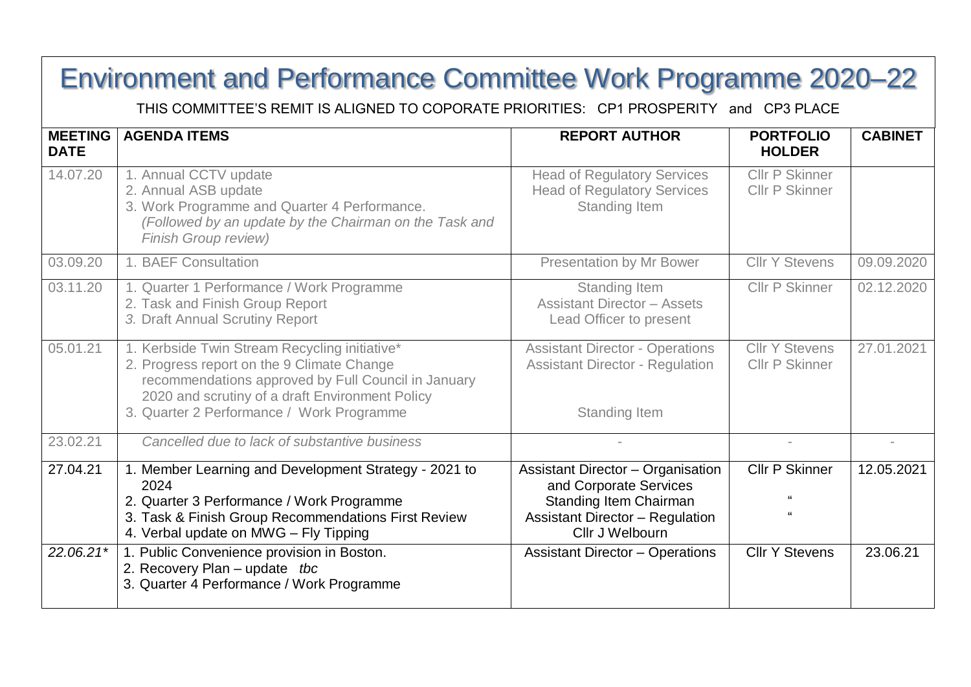## Environment and Performance Committee Work Programme 2020–22

THIS COMMITTEE'S REMIT IS ALIGNED TO COPORATE PRIORITIES: CP1 PROSPERITY and CP3 PLACE

| <b>MEETING</b><br><b>DATE</b> | <b>AGENDA ITEMS</b>                                                                                                                                                                                                                                      | <b>REPORT AUTHOR</b>                                                                                                                                                                                | <b>PORTFOLIO</b><br><b>HOLDER</b>              | <b>CABINET</b>         |
|-------------------------------|----------------------------------------------------------------------------------------------------------------------------------------------------------------------------------------------------------------------------------------------------------|-----------------------------------------------------------------------------------------------------------------------------------------------------------------------------------------------------|------------------------------------------------|------------------------|
| 14.07.20                      | 1. Annual CCTV update<br>2. Annual ASB update<br>3. Work Programme and Quarter 4 Performance.<br>(Followed by an update by the Chairman on the Task and<br><b>Finish Group review)</b>                                                                   | <b>Head of Regulatory Services</b><br><b>Head of Regulatory Services</b><br>Standing Item                                                                                                           | <b>Cllr P Skinner</b><br><b>CIIr P Skinner</b> |                        |
| 03.09.20                      | 1. BAEF Consultation                                                                                                                                                                                                                                     | <b>Presentation by Mr Bower</b>                                                                                                                                                                     | <b>Cllr Y Stevens</b>                          | 09.09.2020             |
| 03.11.20                      | 1. Quarter 1 Performance / Work Programme<br>2. Task and Finish Group Report<br>3. Draft Annual Scrutiny Report                                                                                                                                          | Standing Item<br><b>Assistant Director - Assets</b><br>Lead Officer to present                                                                                                                      | <b>CIIr P Skinner</b>                          | 02.12.2020             |
| 05.01.21                      | 1. Kerbside Twin Stream Recycling initiative*<br>2. Progress report on the 9 Climate Change<br>recommendations approved by Full Council in January<br>2020 and scrutiny of a draft Environment Policy<br>3. Quarter 2 Performance / Work Programme       | <b>Assistant Director - Operations</b><br><b>Assistant Director - Regulation</b><br><b>Standing Item</b>                                                                                            | <b>Cllr Y Stevens</b><br><b>Cllr P Skinner</b> | 27.01.2021             |
| 23.02.21                      | Cancelled due to lack of substantive business                                                                                                                                                                                                            |                                                                                                                                                                                                     |                                                |                        |
| 27.04.21<br>22.06.21*         | 1. Member Learning and Development Strategy - 2021 to<br>2024<br>2. Quarter 3 Performance / Work Programme<br>3. Task & Finish Group Recommendations First Review<br>4. Verbal update on MWG - Fly Tipping<br>1. Public Convenience provision in Boston. | <b>Assistant Director - Organisation</b><br>and Corporate Services<br>Standing Item Chairman<br><b>Assistant Director - Regulation</b><br>Cllr J Welbourn<br><b>Assistant Director - Operations</b> | <b>CIIr P Skinner</b><br><b>Cllr Y Stevens</b> | 12.05.2021<br>23.06.21 |
|                               | 2. Recovery Plan – update tbc<br>3. Quarter 4 Performance / Work Programme                                                                                                                                                                               |                                                                                                                                                                                                     |                                                |                        |